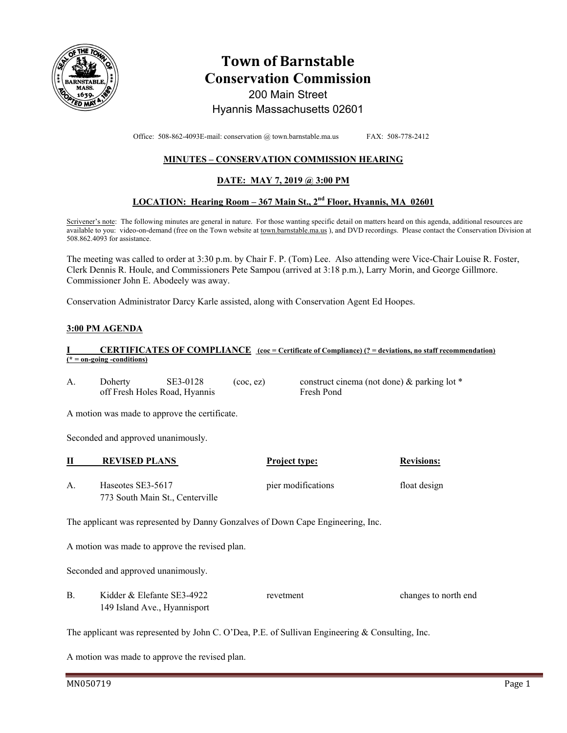

# **Town of Barnstable Conservation Commission**

# 200 Main Street Hyannis Massachusetts 02601

Office: 508-862-4093E-mail: conservation @ town.barnstable.ma.us FAX: 508-778-2412

# **MINUTES – CONSERVATION COMMISSION HEARING**

# **DATE: MAY 7, 2019 @ 3:00 PM**

# **LOCATION: Hearing Room – 367 Main St., 2nd Floor, Hyannis, MA 02601**

Scrivener's note: The following minutes are general in nature. For those wanting specific detail on matters heard on this agenda, additional resources are available to you: video-on-demand (free on the Town website at town.barnstable.ma.us), and DVD recordings. Please contact the Conservation Division at 508.862.4093 for assistance.

The meeting was called to order at 3:30 p.m. by Chair F. P. (Tom) Lee. Also attending were Vice-Chair Louise R. Foster, Clerk Dennis R. Houle, and Commissioners Pete Sampou (arrived at 3:18 p.m.), Larry Morin, and George Gillmore. Commissioner John E. Abodeely was away.

Conservation Administrator Darcy Karle assisted, along with Conservation Agent Ed Hoopes.

#### **3:00 PM AGENDA**

#### **CERTIFICATES OF COMPLIANCE** (coc = Certificate of Compliance) (? = deviations, no staff recommendation) **(\* = on-going -conditions)**

|                               | Doherty | SE3-0128 | $($ coc, ez $)$ | construct cinema (not done) & parking lot * |
|-------------------------------|---------|----------|-----------------|---------------------------------------------|
| off Fresh Holes Road, Hyannis |         |          | Fresh Pond      |                                             |

A motion was made to approve the certificate.

Seconded and approved unanimously.

|    | <b>REVISED PLANS</b>            | <b>Project type:</b> | <b>Revisions:</b> |
|----|---------------------------------|----------------------|-------------------|
| Α. | Haseotes SE3-5617               | pier modifications   | float design      |
|    | 773 South Main St., Centerville |                      |                   |

The applicant was represented by Danny Gonzalves of Down Cape Engineering, Inc.

A motion was made to approve the revised plan.

Seconded and approved unanimously.

| Kidder & Elefante SE3-4922   | revetment | changes to north end |
|------------------------------|-----------|----------------------|
| 149 Island Ave., Hyannisport |           |                      |

The applicant was represented by John C. O'Dea, P.E. of Sullivan Engineering & Consulting, Inc.

A motion was made to approve the revised plan.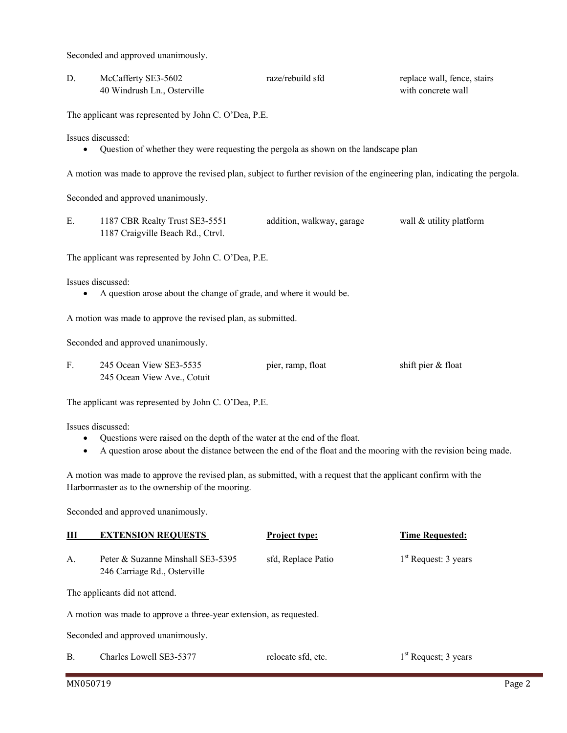Seconded and approved unanimously.

| D.                                                                                                                                                                                                                           | McCafferty SE3-5602<br>40 Windrush Ln., Osterville                                                                                                                  | raze/rebuild sfd          | replace wall, fence, stairs<br>with concrete wall |  |  |
|------------------------------------------------------------------------------------------------------------------------------------------------------------------------------------------------------------------------------|---------------------------------------------------------------------------------------------------------------------------------------------------------------------|---------------------------|---------------------------------------------------|--|--|
|                                                                                                                                                                                                                              | The applicant was represented by John C. O'Dea, P.E.                                                                                                                |                           |                                                   |  |  |
|                                                                                                                                                                                                                              | Issues discussed:<br>Question of whether they were requesting the pergola as shown on the landscape plan                                                            |                           |                                                   |  |  |
|                                                                                                                                                                                                                              | A motion was made to approve the revised plan, subject to further revision of the engineering plan, indicating the pergola.                                         |                           |                                                   |  |  |
|                                                                                                                                                                                                                              | Seconded and approved unanimously.                                                                                                                                  |                           |                                                   |  |  |
| Ε.                                                                                                                                                                                                                           | 1187 CBR Realty Trust SE3-5551<br>1187 Craigville Beach Rd., Ctrvl.                                                                                                 | addition, walkway, garage | wall & utility platform                           |  |  |
|                                                                                                                                                                                                                              | The applicant was represented by John C. O'Dea, P.E.                                                                                                                |                           |                                                   |  |  |
|                                                                                                                                                                                                                              | Issues discussed:<br>A question arose about the change of grade, and where it would be.                                                                             |                           |                                                   |  |  |
|                                                                                                                                                                                                                              | A motion was made to approve the revised plan, as submitted.                                                                                                        |                           |                                                   |  |  |
|                                                                                                                                                                                                                              | Seconded and approved unanimously.                                                                                                                                  |                           |                                                   |  |  |
| F.                                                                                                                                                                                                                           | 245 Ocean View SE3-5535<br>245 Ocean View Ave., Cotuit                                                                                                              | pier, ramp, float         | shift pier & float                                |  |  |
|                                                                                                                                                                                                                              | The applicant was represented by John C. O'Dea, P.E.                                                                                                                |                           |                                                   |  |  |
| Issues discussed:<br>Questions were raised on the depth of the water at the end of the float.<br>A question arose about the distance between the end of the float and the mooring with the revision being made.<br>$\bullet$ |                                                                                                                                                                     |                           |                                                   |  |  |
|                                                                                                                                                                                                                              | A motion was made to approve the revised plan, as submitted, with a request that the applicant confirm with the<br>Harbormaster as to the ownership of the mooring. |                           |                                                   |  |  |
|                                                                                                                                                                                                                              | Seconded and approved unanimously.                                                                                                                                  |                           |                                                   |  |  |
| Ш                                                                                                                                                                                                                            | <b>EXTENSION REQUESTS</b>                                                                                                                                           | Project type:             | <b>Time Requested:</b>                            |  |  |
| А.                                                                                                                                                                                                                           | Peter & Suzanne Minshall SE3-5395<br>246 Carriage Rd., Osterville                                                                                                   | sfd, Replace Patio        | $1st$ Request: 3 years                            |  |  |
| The applicants did not attend.                                                                                                                                                                                               |                                                                                                                                                                     |                           |                                                   |  |  |
|                                                                                                                                                                                                                              | A motion was made to approve a three-year extension, as requested.                                                                                                  |                           |                                                   |  |  |

Seconded and approved unanimously.

| $1st$ Request; 3 years<br>Charles Lowell SE3-5377<br>relocate sfd. etc. |  |
|-------------------------------------------------------------------------|--|
|-------------------------------------------------------------------------|--|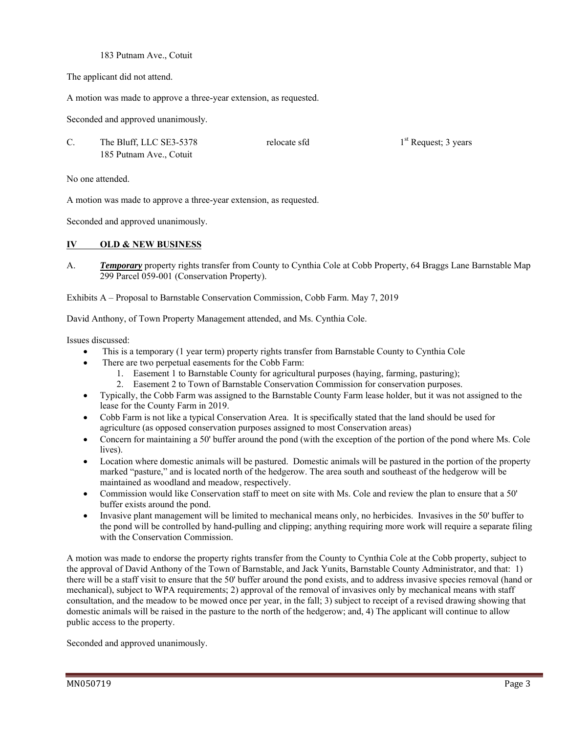183 Putnam Ave., Cotuit

The applicant did not attend.

A motion was made to approve a three-year extension, as requested.

Seconded and approved unanimously.

C. The Bluff, LLC SE3-5378 relocate sfd  $1<sup>st</sup>$  Request; 3 years 185 Putnam Ave., Cotuit

No one attended.

A motion was made to approve a three-year extension, as requested.

Seconded and approved unanimously.

# **IV OLD & NEW BUSINESS**

A. *Temporary* property rights transfer from County to Cynthia Cole at Cobb Property, 64 Braggs Lane Barnstable Map 299 Parcel 059-001 (Conservation Property).

Exhibits A – Proposal to Barnstable Conservation Commission, Cobb Farm. May 7, 2019

David Anthony, of Town Property Management attended, and Ms. Cynthia Cole.

Issues discussed:

- This is a temporary (1 year term) property rights transfer from Barnstable County to Cynthia Cole
	- There are two perpetual easements for the Cobb Farm:
		- 1. Easement 1 to Barnstable County for agricultural purposes (haying, farming, pasturing);
		- 2. Easement 2 to Town of Barnstable Conservation Commission for conservation purposes.
- Typically, the Cobb Farm was assigned to the Barnstable County Farm lease holder, but it was not assigned to the lease for the County Farm in 2019.
- Cobb Farm is not like a typical Conservation Area. It is specifically stated that the land should be used for agriculture (as opposed conservation purposes assigned to most Conservation areas)
- Concern for maintaining a 50' buffer around the pond (with the exception of the portion of the pond where Ms. Cole lives).
- Location where domestic animals will be pastured. Domestic animals will be pastured in the portion of the property marked "pasture," and is located north of the hedgerow. The area south and southeast of the hedgerow will be maintained as woodland and meadow, respectively.
- Commission would like Conservation staff to meet on site with Ms. Cole and review the plan to ensure that a 50' buffer exists around the pond.
- Invasive plant management will be limited to mechanical means only, no herbicides. Invasives in the 50' buffer to the pond will be controlled by hand-pulling and clipping; anything requiring more work will require a separate filing with the Conservation Commission.

A motion was made to endorse the property rights transfer from the County to Cynthia Cole at the Cobb property, subject to the approval of David Anthony of the Town of Barnstable, and Jack Yunits, Barnstable County Administrator, and that: 1) there will be a staff visit to ensure that the 50' buffer around the pond exists, and to address invasive species removal (hand or mechanical), subject to WPA requirements; 2) approval of the removal of invasives only by mechanical means with staff consultation, and the meadow to be mowed once per year, in the fall; 3) subject to receipt of a revised drawing showing that domestic animals will be raised in the pasture to the north of the hedgerow; and, 4) The applicant will continue to allow public access to the property.

Seconded and approved unanimously.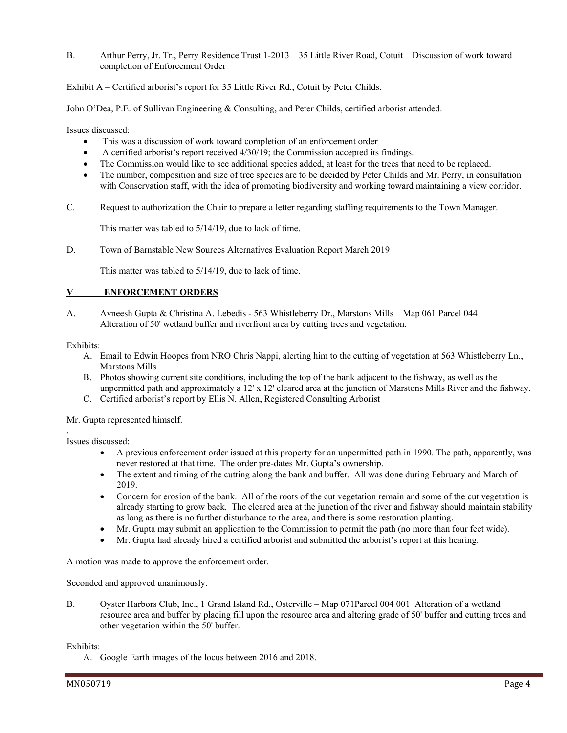B. Arthur Perry, Jr. Tr., Perry Residence Trust 1-2013 – 35 Little River Road, Cotuit – Discussion of work toward completion of Enforcement Order

Exhibit A – Certified arborist's report for 35 Little River Rd., Cotuit by Peter Childs.

John O'Dea, P.E. of Sullivan Engineering & Consulting, and Peter Childs, certified arborist attended.

Issues discussed:

- This was a discussion of work toward completion of an enforcement order
- A certified arborist's report received 4/30/19; the Commission accepted its findings.
- The Commission would like to see additional species added, at least for the trees that need to be replaced.
- The number, composition and size of tree species are to be decided by Peter Childs and Mr. Perry, in consultation with Conservation staff, with the idea of promoting biodiversity and working toward maintaining a view corridor.
- C. Request to authorization the Chair to prepare a letter regarding staffing requirements to the Town Manager.

This matter was tabled to 5/14/19, due to lack of time.

D. Town of Barnstable New Sources Alternatives Evaluation Report March 2019

This matter was tabled to 5/14/19, due to lack of time.

# **V ENFORCEMENT ORDERS**

A. Avneesh Gupta & Christina A. Lebedis - 563 Whistleberry Dr., Marstons Mills – Map 061 Parcel 044 Alteration of 50' wetland buffer and riverfront area by cutting trees and vegetation.

#### Exhibits:

- A. Email to Edwin Hoopes from NRO Chris Nappi, alerting him to the cutting of vegetation at 563 Whistleberry Ln., Marstons Mills
- B. Photos showing current site conditions, including the top of the bank adjacent to the fishway, as well as the unpermitted path and approximately a 12' x 12' cleared area at the junction of Marstons Mills River and the fishway.
- C. Certified arborist's report by Ellis N. Allen, Registered Consulting Arborist

Mr. Gupta represented himself.

. Issues discussed:

- A previous enforcement order issued at this property for an unpermitted path in 1990. The path, apparently, was never restored at that time. The order pre-dates Mr. Gupta's ownership.
- The extent and timing of the cutting along the bank and buffer. All was done during February and March of 2019.
- Concern for erosion of the bank. All of the roots of the cut vegetation remain and some of the cut vegetation is already starting to grow back. The cleared area at the junction of the river and fishway should maintain stability as long as there is no further disturbance to the area, and there is some restoration planting.
- Mr. Gupta may submit an application to the Commission to permit the path (no more than four feet wide).
- Mr. Gupta had already hired a certified arborist and submitted the arborist's report at this hearing.

A motion was made to approve the enforcement order.

Seconded and approved unanimously.

B. Oyster Harbors Club, Inc., 1 Grand Island Rd., Osterville – Map 071Parcel 004 001 Alteration of a wetland resource area and buffer by placing fill upon the resource area and altering grade of 50' buffer and cutting trees and other vegetation within the 50' buffer.

Exhibits:

A. Google Earth images of the locus between 2016 and 2018.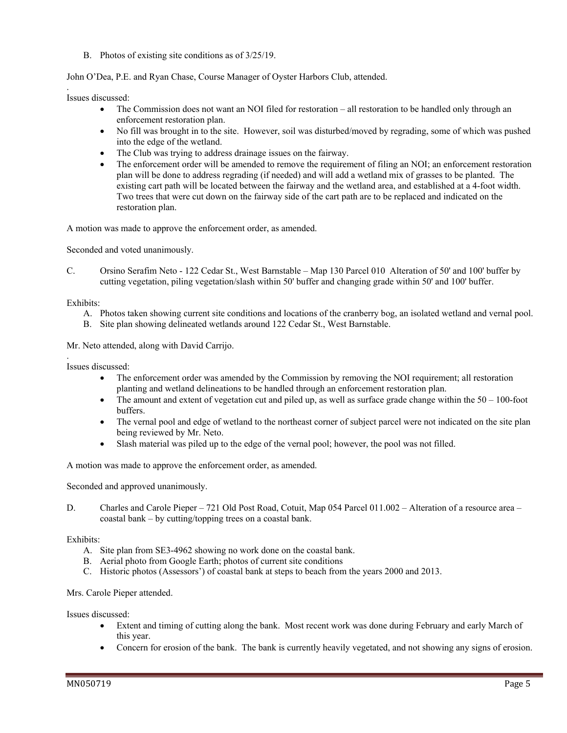B. Photos of existing site conditions as of 3/25/19.

John O'Dea, P.E. and Ryan Chase, Course Manager of Oyster Harbors Club, attended.

. Issues discussed:

- The Commission does not want an NOI filed for restoration all restoration to be handled only through an enforcement restoration plan.
- No fill was brought in to the site. However, soil was disturbed/moved by regrading, some of which was pushed into the edge of the wetland.
- The Club was trying to address drainage issues on the fairway.
- The enforcement order will be amended to remove the requirement of filing an NOI; an enforcement restoration plan will be done to address regrading (if needed) and will add a wetland mix of grasses to be planted. The existing cart path will be located between the fairway and the wetland area, and established at a 4-foot width. Two trees that were cut down on the fairway side of the cart path are to be replaced and indicated on the restoration plan.

A motion was made to approve the enforcement order, as amended.

Seconded and voted unanimously.

C. Orsino Serafim Neto - 122 Cedar St., West Barnstable – Map 130 Parcel 010 Alteration of 50' and 100' buffer by cutting vegetation, piling vegetation/slash within 50' buffer and changing grade within 50' and 100' buffer.

Exhibits:

.

- A. Photos taken showing current site conditions and locations of the cranberry bog, an isolated wetland and vernal pool.
- B. Site plan showing delineated wetlands around 122 Cedar St., West Barnstable.

Mr. Neto attended, along with David Carrijo.

Issues discussed:

- The enforcement order was amended by the Commission by removing the NOI requirement; all restoration planting and wetland delineations to be handled through an enforcement restoration plan.
- $\bullet$  The amount and extent of vegetation cut and piled up, as well as surface grade change within the 50 100-foot buffers.
- The vernal pool and edge of wetland to the northeast corner of subject parcel were not indicated on the site plan being reviewed by Mr. Neto.
- Slash material was piled up to the edge of the vernal pool; however, the pool was not filled.

A motion was made to approve the enforcement order, as amended.

Seconded and approved unanimously.

D. Charles and Carole Pieper – 721 Old Post Road, Cotuit, Map 054 Parcel 011.002 – Alteration of a resource area – coastal bank – by cutting/topping trees on a coastal bank.

# Exhibits:

- A. Site plan from SE3-4962 showing no work done on the coastal bank.
- B. Aerial photo from Google Earth; photos of current site conditions
- C. Historic photos (Assessors') of coastal bank at steps to beach from the years 2000 and 2013.

# Mrs. Carole Pieper attended.

Issues discussed:

- Extent and timing of cutting along the bank. Most recent work was done during February and early March of this year.
- Concern for erosion of the bank. The bank is currently heavily vegetated, and not showing any signs of erosion.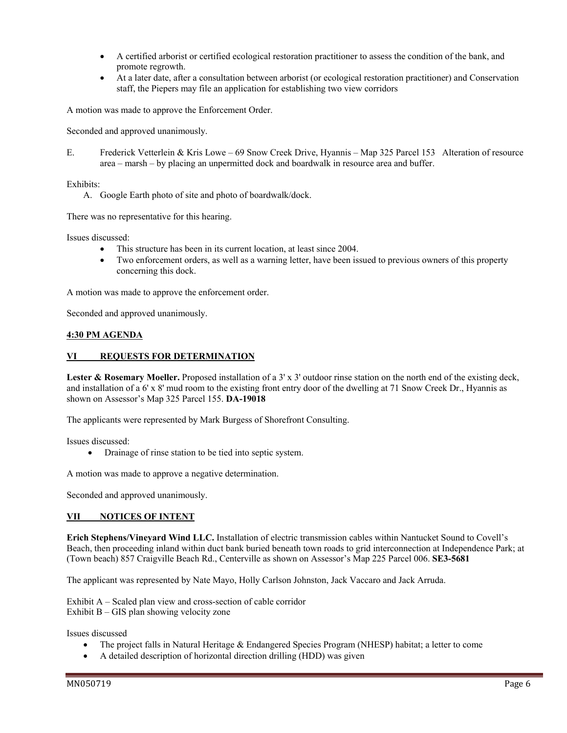- A certified arborist or certified ecological restoration practitioner to assess the condition of the bank, and promote regrowth.
- At a later date, after a consultation between arborist (or ecological restoration practitioner) and Conservation staff, the Piepers may file an application for establishing two view corridors

A motion was made to approve the Enforcement Order.

Seconded and approved unanimously.

E. Frederick Vetterlein & Kris Lowe – 69 Snow Creek Drive, Hyannis – Map 325 Parcel 153 Alteration of resource area – marsh – by placing an unpermitted dock and boardwalk in resource area and buffer.

Exhibits:

A. Google Earth photo of site and photo of boardwalk/dock.

There was no representative for this hearing.

Issues discussed:

- This structure has been in its current location, at least since 2004.
- Two enforcement orders, as well as a warning letter, have been issued to previous owners of this property concerning this dock.

A motion was made to approve the enforcement order.

Seconded and approved unanimously.

#### **4:30 PM AGENDA**

# **VI REQUESTS FOR DETERMINATION**

Lester & Rosemary Moeller. Proposed installation of a 3' x 3' outdoor rinse station on the north end of the existing deck, and installation of a 6' x 8' mud room to the existing front entry door of the dwelling at 71 Snow Creek Dr., Hyannis as shown on Assessor's Map 325 Parcel 155. **DA-19018** 

The applicants were represented by Mark Burgess of Shorefront Consulting.

Issues discussed:

Drainage of rinse station to be tied into septic system.

A motion was made to approve a negative determination.

Seconded and approved unanimously.

# **VII NOTICES OF INTENT**

**Erich Stephens/Vineyard Wind LLC.** Installation of electric transmission cables within Nantucket Sound to Covell's Beach, then proceeding inland within duct bank buried beneath town roads to grid interconnection at Independence Park; at (Town beach) 857 Craigville Beach Rd., Centerville as shown on Assessor's Map 225 Parcel 006. **SE3-5681** 

The applicant was represented by Nate Mayo, Holly Carlson Johnston, Jack Vaccaro and Jack Arruda.

Exhibit A – Scaled plan view and cross-section of cable corridor Exhibit B – GIS plan showing velocity zone

Issues discussed

- The project falls in Natural Heritage & Endangered Species Program (NHESP) habitat; a letter to come
- A detailed description of horizontal direction drilling (HDD) was given